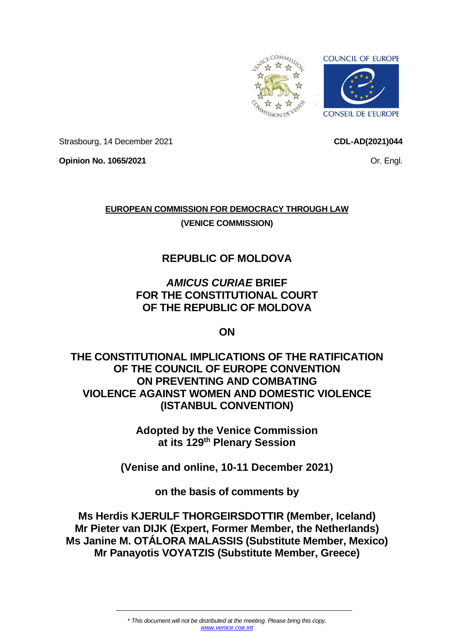

Strasbourg, 14 December 2021

Or. Engl.

**CDL-AD(2021)044**

**Opinion No. 1065/2021**

**EUROPEAN COMMISSION FOR DEMOCRACY THROUGH LAW (VENICE COMMISSION)**

# **REPUBLIC OF MOLDOVA**

# *AMICUS CURIAE* **BRIEF FOR THE CONSTITUTIONAL COURT OF THE REPUBLIC OF MOLDOVA**

**ON**

**THE CONSTITUTIONAL IMPLICATIONS OF THE RATIFICATION OF THE COUNCIL OF EUROPE CONVENTION ON PREVENTING AND COMBATING VIOLENCE AGAINST WOMEN AND DOMESTIC VIOLENCE (ISTANBUL CONVENTION)**

> **Adopted by the Venice Commission at its 129 th Plenary Session**

**(Venise and online, 10-11 December 2021)**

**on the basis of comments by**

**Ms Herdis KJERULF THORGEIRSDOTTIR (Member, Iceland) Mr Pieter van DIJK (Expert, Former Member, the Netherlands) Ms Janine M. OTÁLORA MALASSIS (Substitute Member, Mexico) Mr Panayotis VOYATZIS (Substitute Member, Greece)**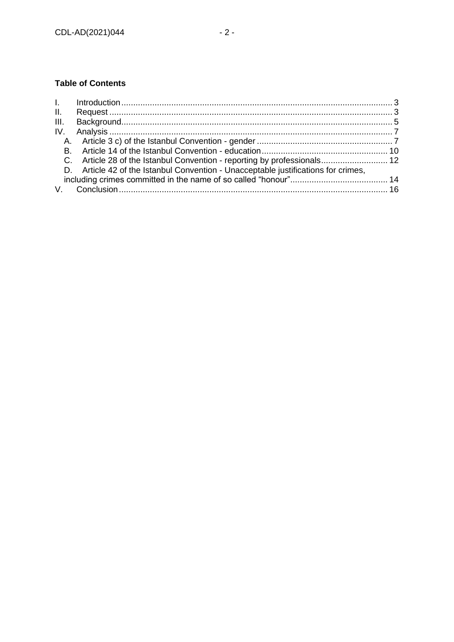# **Table of Contents**

| C. Article 28 of the Istanbul Convention - reporting by professionals 12           |  |
|------------------------------------------------------------------------------------|--|
| D. Article 42 of the Istanbul Convention - Unacceptable justifications for crimes, |  |
|                                                                                    |  |
|                                                                                    |  |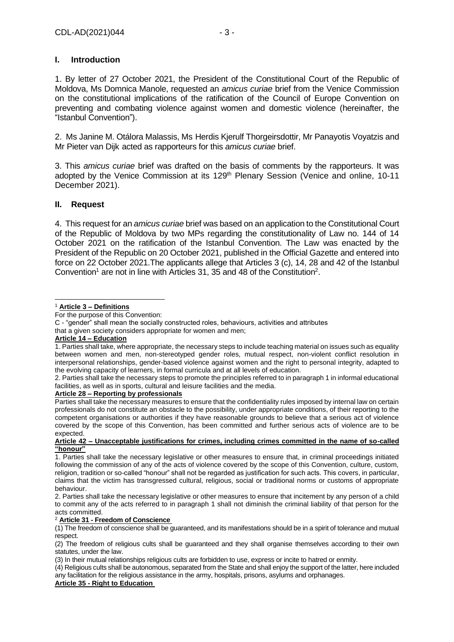# <span id="page-2-0"></span>**I. Introduction**

1. By letter of 27 October 2021, the President of the Constitutional Court of the Republic of Moldova, Ms Domnica Manole, requested an *amicus curiae* brief from the Venice Commission on the constitutional implications of the ratification of the Council of Europe Convention on preventing and combating violence against women and domestic violence (hereinafter, the "Istanbul Convention").

2. Ms Janine M. Otálora Malassis, Ms Herdis Kjerulf Thorgeirsdottir, Mr Panayotis Voyatzis and Mr Pieter van Dijk acted as rapporteurs for this *amicus curiae* brief.

3. This *amicus curiae* brief was drafted on the basis of comments by the rapporteurs. It was adopted by the Venice Commission at its 129<sup>th</sup> Plenary Session (Venice and online, 10-11 December 2021).

### <span id="page-2-1"></span>**II. Request**

4. This request for an *amicus curiae* brief was based on an application to the Constitutional Court of the Republic of Moldova by two MPs regarding the constitutionality of Law no. 144 of 14 October 2021 on the ratification of the Istanbul Convention. The Law was enacted by the President of the Republic on 20 October 2021, published in the Official Gazette and entered into force on 22 October 2021.The applicants allege that Articles 3 (c), 14, 28 and 42 of the Istanbul Convention<sup>1</sup> are not in line with Articles 31, 35 and 48 of the Constitution<sup>2</sup>.

### **Article 14 – Education**

#### **Article 28 – Reporting by professionals**

Parties shall take the necessary measures to ensure that the confidentiality rules imposed by internal law on certain professionals do not constitute an obstacle to the possibility, under appropriate conditions, of their reporting to the competent organisations or authorities if they have reasonable grounds to believe that a serious act of violence covered by the scope of this Convention, has been committed and further serious acts of violence are to be expected.

#### **Article 42 – Unacceptable justifications for crimes, including crimes committed in the name of so-called "honour"**

1. Parties shall take the necessary legislative or other measures to ensure that, in criminal proceedings initiated following the commission of any of the acts of violence covered by the scope of this Convention, culture, custom, religion, tradition or so-called "honour" shall not be regarded as justification for such acts. This covers, in particular, claims that the victim has transgressed cultural, religious, social or traditional norms or customs of appropriate behaviour.

2. Parties shall take the necessary legislative or other measures to ensure that incitement by any person of a child to commit any of the acts referred to in paragraph 1 shall not diminish the criminal liability of that person for the acts committed.

#### <sup>2</sup> **Article 31 - [Freedom of Conscience](http://www.codices.coe.int/NXT/gateway.dll?f=jumplink$jumplink_x=Advanced$jumplink_vpc=first$jumplink_xsl=querylink.xsl$jumplink_sel=title;path;content-type;home-title;item-bookmark$jumplink_d=%7bCodices%7d$jumplink_q=%5bfield%20IDEcross:%22const-eng-mda-a-031%22%5d)**

(1) The freedom of conscience shall be guaranteed, and its manifestations should be in a spirit of tolerance and mutual respect.

(2) The freedom of religious cults shall be guaranteed and they shall organise themselves according to their own statutes, under the law.

(3) In their mutual relationships religious cults are forbidden to use, express or incite to hatred or enmity.

(4) Religious cults shall be autonomous, separated from the State and shall enjoy the support of the latter, here included any facilitation for the religious assistance in the army, hospitals, prisons, asylums and orphanages.

#### **Article 35 - [Right to Education](http://www.codices.coe.int/NXT/gateway.dll?f=jumplink$jumplink_x=Advanced$jumplink_vpc=first$jumplink_xsl=querylink.xsl$jumplink_sel=title;path;content-type;home-title;item-bookmark$jumplink_d=%7bCodices%7d$jumplink_q=%5bfield%20IDEcross:%22const-eng-mda-a-035%22%5d)**

<sup>1</sup> **Article 3 – Definitions**

For the purpose of this Convention:

C - "gender" shall mean the socially constructed roles, behaviours, activities and attributes

that a given society considers appropriate for women and men;

<sup>1.</sup> Parties shall take, where appropriate, the necessary steps to include teaching material on issues such as equality between women and men, non-stereotyped gender roles, mutual respect, non-violent conflict resolution in interpersonal relationships, gender-based violence against women and the right to personal integrity, adapted to the evolving capacity of learners, in formal curricula and at all levels of education.

<sup>2.</sup> Parties shall take the necessary steps to promote the principles referred to in paragraph 1 in informal educational facilities, as well as in sports, cultural and leisure facilities and the media.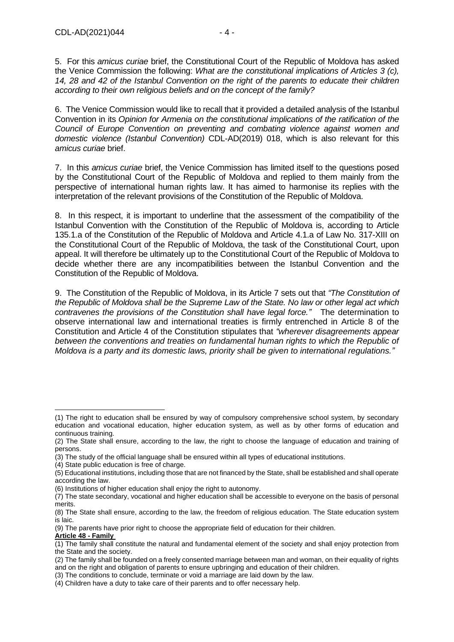5. For this *amicus curiae* brief, the Constitutional Court of the Republic of Moldova has asked the Venice Commission the following: *What are the constitutional implications of Articles 3 (c), 14, 28 and 42 of the Istanbul Convention on the right of the parents to educate their children according to their own religious beliefs and on the concept of the family?*

6. The Venice Commission would like to recall that it provided a detailed analysis of the Istanbul Convention in its *Opinion for Armenia on the constitutional implications of the ratification of the Council of Europe Convention on preventing and combating violence against women and domestic violence (Istanbul Convention)* CDL-AD(2019) 018, which is also relevant for this *amicus curiae* brief.

7. In this *amicus curiae* brief, the Venice Commission has limited itself to the questions posed by the Constitutional Court of the Republic of Moldova and replied to them mainly from the perspective of international human rights law. It has aimed to harmonise its replies with the interpretation of the relevant provisions of the Constitution of the Republic of Moldova.

8. In this respect, it is important to underline that the assessment of the compatibility of the Istanbul Convention with the Constitution of the Republic of Moldova is, according to Article 135.1.a of the Constitution of the Republic of Moldova and Article 4.1.a of Law No. 317-XIII on the Constitutional Court of the Republic of Moldova, the task of the Constitutional Court, upon appeal. It will therefore be ultimately up to the Constitutional Court of the Republic of Moldova to decide whether there are any incompatibilities between the Istanbul Convention and the Constitution of the Republic of Moldova.

9. The Constitution of the Republic of Moldova, in its Article 7 sets out that *"The Constitution of the Republic of Moldova shall be the Supreme Law of the State. No law or other legal act which contravenes the provisions of the Constitution shall have legal force."* The determination to observe international law and international treaties is firmly entrenched in Article 8 of the Constitution and Article 4 of the Constitution stipulates that *"wherever disagreements appear between the conventions and treaties on fundamental human rights to which the Republic of Moldova is a party and its domestic laws, priority shall be given to international regulations."*

(4) State public education is free of charge.

<sup>(1)</sup> The right to education shall be ensured by way of compulsory comprehensive school system, by secondary education and vocational education, higher education system, as well as by other forms of education and continuous training.

<sup>(2)</sup> The State shall ensure, according to the law, the right to choose the language of education and training of persons.

<sup>(3)</sup> The study of the official language shall be ensured within all types of educational institutions.

<sup>(5)</sup> Educational institutions, including those that are not financed by the State, shall be established and shall operate according the law.

<sup>(6)</sup> Institutions of higher education shall enjoy the right to autonomy.

<sup>(7)</sup> The state secondary, vocational and higher education shall be accessible to everyone on the basis of personal merits.

<sup>(8)</sup> The State shall ensure, according to the law, the freedom of religious education. The State education system is laic.

<sup>(9)</sup> The parents have prior right to choose the appropriate field of education for their children.

**Article 48 - Family**

<sup>(1)</sup> The family shall constitute the natural and fundamental element of the society and shall enjoy protection from the State and the society.

<sup>(2)</sup> The family shall be founded on a freely consented marriage between man and woman, on their equality of rights and on the right and obligation of parents to ensure upbringing and education of their children.

<sup>(3)</sup> The conditions to conclude, terminate or void a marriage are laid down by the law.

<sup>(4)</sup> Children have a duty to take care of their parents and to offer necessary help.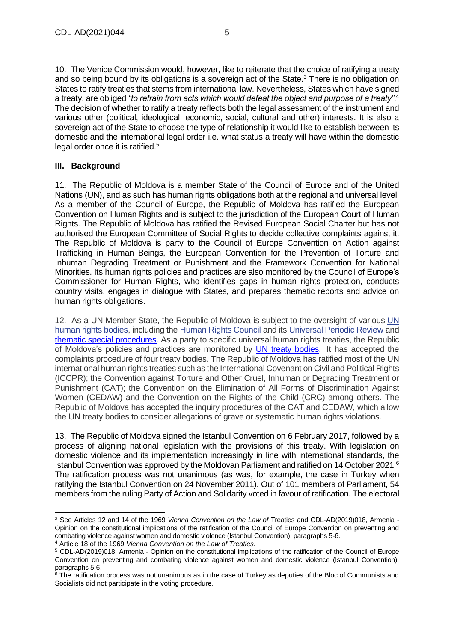10. The Venice Commission would, however, like to reiterate that the choice of ratifying a treaty and so being bound by its obligations is a sovereign act of the State.<sup>3</sup> There is no obligation on States to ratify treaties that stems from international law. Nevertheless, States which have signed a treaty, are obliged *"to refrain from acts which would defeat the object and purpose of a treaty"*. 4 The decision of whether to ratify a treaty reflects both the legal assessment of the instrument and various other (political, ideological, economic, social, cultural and other) interests. It is also a sovereign act of the State to choose the type of relationship it would like to establish between its domestic and the international legal order i.e. what status a treaty will have within the domestic legal order once it is ratified.<sup>5</sup>

# <span id="page-4-0"></span>**III. Background**

11. The Republic of Moldova is a member State of the Council of Europe and of the United Nations (UN), and as such has human rights obligations both at the regional and universal level. As a member of the Council of Europe, the Republic of Moldova has ratified the European Convention on Human Rights and is subject to the jurisdiction of the European Court of Human Rights. The Republic of Moldova has ratified the Revised European Social Charter but has not authorised the European Committee of Social Rights to decide collective complaints against it. The Republic of Moldova is party to the Council of Europe Convention on Action against Trafficking in Human Beings, the European Convention for the Prevention of Torture and Inhuman Degrading Treatment or Punishment and the Framework Convention for National Minorities. Its human rights policies and practices are also monitored by the Council of Europe's Commissioner for Human Rights, who identifies gaps in human rights protection, conducts country visits, engages in dialogue with States, and prepares thematic reports and advice on human rights obligations.

12. As a UN Member State, the Republic of Moldova is subject to the oversight of various [UN](https://ijrcenter.org/universal-tribunals-treaty-bodies-and-rapporteurs/)  [human rights bodies,](https://ijrcenter.org/universal-tribunals-treaty-bodies-and-rapporteurs/) including the [Human Rights Council](https://ijrcenter.org/un-human-rights-council/) and its [Universal Periodic Review](https://ijrcenter.org/un-human-rights-council/un-universal-periodic-review/) and thematic [special procedures.](https://ijrcenter.org/un-special-procedures/) As a party to specific universal human rights treaties, the Republic of Moldova's policies and practices are monitored by UN [treaty bodies.](https://ijrcenter.org/un-treaty-bodies/) It has accepted the complaints procedure of four treaty bodies. The Republic of Moldova has ratified most of the UN international human rights treaties such as the International Covenant on Civil and Political Rights (ICCPR); the Convention against Torture and Other Cruel, Inhuman or Degrading Treatment or Punishment (CAT); the Convention on the Elimination of All Forms of Discrimination Against Women (CEDAW) and the Convention on the Rights of the Child (CRC) among others. The Republic of Moldova has accepted the inquiry procedures of the CAT and CEDAW, which allow the UN treaty bodies to consider allegations of grave or systematic human rights violations.

13. The Republic of Moldova signed the Istanbul Convention on 6 February 2017, followed by a process of aligning national legislation with the provisions of this treaty. With legislation on domestic violence and its implementation increasingly in line with international standards, the Istanbul Convention was approved by the Moldovan Parliament and ratified on 14 October 2021.<sup>6</sup> The ratification process was not unanimous (as was, for example, the case in Turkey when ratifying the Istanbul Convention on 24 November 2011). Out of 101 members of Parliament, 54 members from the ruling Party of Action and Solidarity voted in favour of ratification. The electoral

```
4 Article 18 of the 1969 Vienna Convention on the Law of Treaties.
```
<sup>3</sup> See Articles 12 and 14 of the 1969 *Vienna Convention on the Law of* Treaties and CDL-AD(2019)018, Armenia - Opinion on the constitutional implications of the ratification of the Council of Europe Convention on preventing and combating violence against women and domestic violence (Istanbul Convention), paragraphs 5-6.

<sup>5</sup> CDL-AD(2019)018, Armenia - Opinion on the constitutional implications of the ratification of the Council of Europe Convention on preventing and combating violence against women and domestic violence (Istanbul Convention), paragraphs 5-6.

<sup>&</sup>lt;sup>6</sup> The ratification process was not unanimous as in the case of Turkey as deputies of the Bloc of Communists and Socialists did not participate in the voting procedure.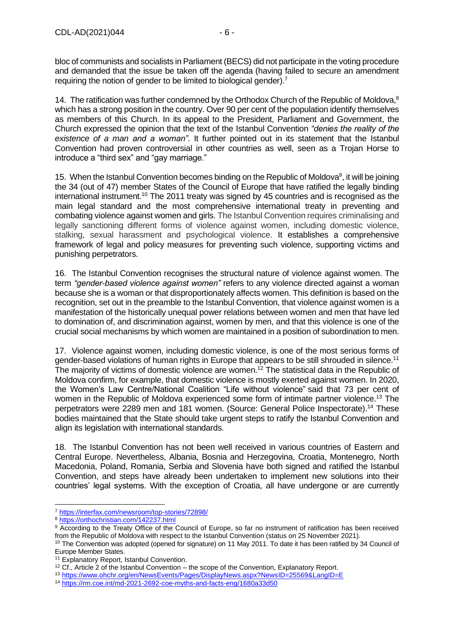bloc of communists and socialists in Parliament (BECS) did not participate in the voting procedure and demanded that the issue be taken off the agenda (having failed to secure an amendment requiring the notion of gender to be limited to biological gender).<sup>7</sup>

14. The ratification was further condemned by the Orthodox Church of the Republic of Moldova, $8$ which has a strong position in the country. Over 90 per cent of the population identify themselves as members of this Church. In its appeal to the President, Parliament and Government, the Church expressed the opinion that the text of the Istanbul Convention *"denies the reality of the existence of a man and a woman"*. It further pointed out in its statement that the Istanbul Convention had proven controversial in other countries as well, seen as a Trojan Horse to introduce a "third sex" and "gay marriage."

15. When the Istanbul Convention becomes binding on the Republic of Moldova<sup>9</sup>, it will be joining the 34 (out of 47) member States of the Council of Europe that have ratified the legally binding international instrument.<sup>10</sup> The 2011 treaty was signed by 45 countries and is recognised as the main legal standard and the most comprehensive international treaty in preventing and combating violence against women and girls. The Istanbul Convention requires criminalising and legally sanctioning different forms of violence against women, including domestic violence, stalking, sexual harassment and psychological violence. It establishes a comprehensive framework of legal and policy measures for preventing such violence, supporting victims and punishing perpetrators.

16. The Istanbul Convention recognises the structural nature of violence against women. The term *"gender-based violence against women"* refers to any violence directed against a woman because she is a woman or that disproportionately affects women. This definition is based on the recognition, set out in the preamble to the Istanbul Convention, that violence against women is a manifestation of the historically unequal power relations between women and men that have led to domination of, and discrimination against, women by men, and that this violence is one of the crucial social mechanisms by which women are maintained in a position of subordination to men.

17. Violence against women, including domestic violence, is one of the most serious forms of gender-based violations of human rights in Europe that appears to be still shrouded in silence.<sup>11</sup> The majority of victims of domestic violence are women.<sup>12</sup> The statistical data in the Republic of Moldova confirm, for example, that domestic violence is mostly exerted against women. In 2020, the Women's Law Centre/National Coalition "Life without violence" said that 73 per cent of women in the Republic of Moldova experienced some form of intimate partner violence.<sup>13</sup> The perpetrators were 2289 men and 181 women. (Source: General Police Inspectorate). <sup>14</sup> These bodies maintained that the State should take urgent steps to ratify the Istanbul Convention and align its legislation with international standards.

18. The Istanbul Convention has not been well received in various countries of Eastern and Central Europe. Nevertheless, Albania, Bosnia and Herzegovina, Croatia, Montenegro, North Macedonia, Poland, Romania, Serbia and Slovenia have both signed and ratified the Istanbul Convention, and steps have already been undertaken to implement new solutions into their countries' legal systems. With the exception of Croatia, all have undergone or are currently

<sup>7</sup> <https://interfax.com/newsroom/top-stories/72898/>

<sup>8</sup> <https://orthochristian.com/142237.html>

<sup>9</sup> According to the Treaty Office of the Council of Europe, so far no instrument of ratification has been received from the Republic of Moldova with respect to the Istanbul Convention (status on 25 November 2021).

<sup>&</sup>lt;sup>10</sup> The Convention was adopted (opened for signature) on 11 May 2011. To date it has been ratified by 34 Council of Europe Member States.

<sup>&</sup>lt;sup>11</sup> Explanatory Report, Istanbul Convention.

 $12$  Cf., Article 2 of the Istanbul Convention – the scope of the Convention, Explanatory Report.

<sup>13</sup> <https://www.ohchr.org/en/NewsEvents/Pages/DisplayNews.aspx?NewsID=25569&LangID=E>

<sup>14</sup> <https://rm.coe.int/md-2021-2692-coe-myths-and-facts-eng/1680a33d50>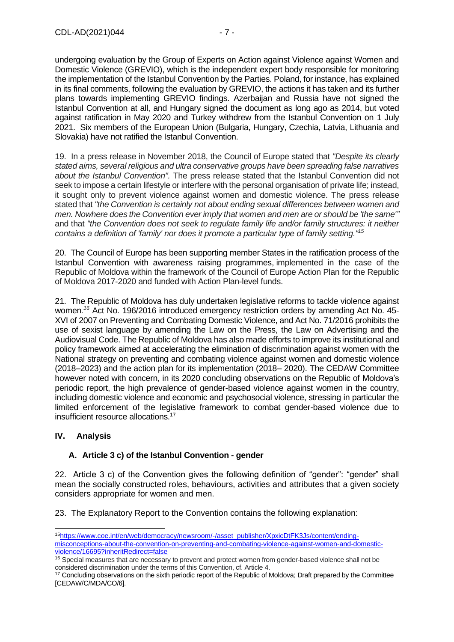undergoing evaluation by the Group of Experts on Action against Violence against Women and Domestic Violence (GREVIO), which is the independent expert body responsible for monitoring the implementation of the Istanbul Convention by the Parties. Poland, for instance, has explained in its final comments, following the evaluation by GREVIO, the actions it has taken and its further plans towards implementing GREVIO findings. Azerbaijan and Russia have not signed the Istanbul Convention at all, and Hungary signed the document as long ago as 2014, but voted against ratification in May 2020 and Turkey withdrew from the Istanbul Convention on 1 July 2021. Six members of the European Union (Bulgaria, Hungary, Czechia, Latvia, Lithuania and Slovakia) have not ratified the Istanbul Convention.

19. In a press release in November 2018, the Council of Europe stated that *"Despite its clearly stated aims, several religious and ultra conservative groups have been spreading false narratives about the Istanbul Convention".* The press release stated that the Istanbul Convention did not seek to impose a certain lifestyle or interfere with the personal organisation of private life; instead, it sought only to prevent violence against women and domestic violence. The press release stated that *"the Convention is certainly not about ending sexual differences between women and men. Nowhere does the Convention ever imply that women and men are or should be 'the same'"* and that *"the Convention does not seek to regulate family life and/or family structures: it neither contains a definition of 'family' nor does it promote a particular type of family setting."<sup>15</sup>*

20. The Council of Europe has been supporting member States in the ratification process of the Istanbul Convention with awareness raising programmes, implemented in the case of the Republic of Moldova within the framework of the Council of Europe Action Plan for the Republic of Moldova 2017-2020 and funded with Action Plan-level funds.

21. The Republic of Moldova has duly undertaken legislative reforms to tackle violence against women*. <sup>16</sup>* Act No. 196/2016 introduced emergency restriction orders by amending Act No. 45- XVI of 2007 on Preventing and Combating Domestic Violence, and Act No. 71/2016 prohibits the use of sexist language by amending the Law on the Press, the Law on Advertising and the Audiovisual Code. The Republic of Moldova has also made efforts to improve its institutional and policy framework aimed at accelerating the elimination of discrimination against women with the National strategy on preventing and combating violence against women and domestic violence (2018–2023) and the action plan for its implementation (2018– 2020). The CEDAW Committee however noted with concern, in its 2020 concluding observations on the Republic of Moldova's periodic report, the high prevalence of gender-based violence against women in the country, including domestic violence and economic and psychosocial violence, stressing in particular the limited enforcement of the legislative framework to combat gender-based violence due to insufficient resource allocations.<sup>17</sup>

# <span id="page-6-0"></span>**IV. Analysis**

# <span id="page-6-1"></span>**A. Article 3 c) of the Istanbul Convention - gender**

22. Article 3 c) of the Convention gives the following definition of "gender": "gender" shall mean the socially constructed roles, behaviours, activities and attributes that a given society considers appropriate for women and men.

23. The Explanatory Report to the Convention contains the following explanation:

<sup>15</sup>[https://www.coe.int/en/web/democracy/newsroom/-/asset\\_publisher/XpxicDtFK3Js/content/ending](https://www.coe.int/en/web/democracy/newsroom/-/asset_publisher/XpxicDtFK3Js/content/ending-misconceptions-about-the-convention-on-preventing-and-combating-violence-against-women-and-domestic-violence/16695?inheritRedirect=false)[misconceptions-about-the-convention-on-preventing-and-combating-violence-against-women-and-domestic](https://www.coe.int/en/web/democracy/newsroom/-/asset_publisher/XpxicDtFK3Js/content/ending-misconceptions-about-the-convention-on-preventing-and-combating-violence-against-women-and-domestic-violence/16695?inheritRedirect=false)[violence/16695?inheritRedirect=false](https://www.coe.int/en/web/democracy/newsroom/-/asset_publisher/XpxicDtFK3Js/content/ending-misconceptions-about-the-convention-on-preventing-and-combating-violence-against-women-and-domestic-violence/16695?inheritRedirect=false)

<sup>&</sup>lt;sup>16</sup> Special measures that are necessary to prevent and protect women from gender-based violence shall not be considered discrimination under the terms of this Convention, cf. Article 4.

<sup>&</sup>lt;sup>17</sup> Concluding observations on the sixth periodic report of the Republic of Moldova; Draft prepared by the Committee [CEDAW/C/MDA/CO/6].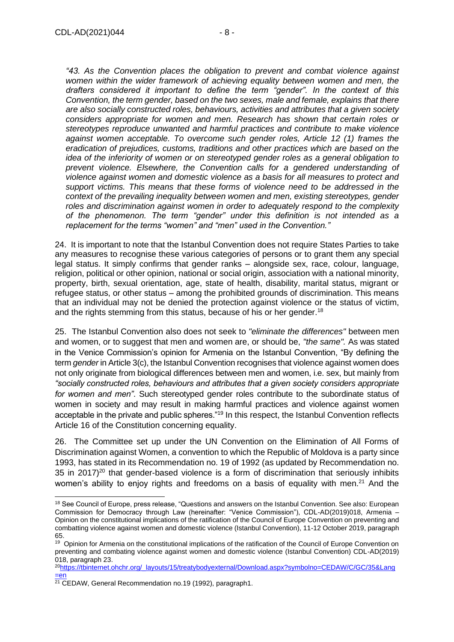*"43. As the Convention places the obligation to prevent and combat violence against*  women within the wider framework of achieving equality between women and men, the *drafters considered it important to define the term "gender". In the context of this Convention, the term gender, based on the two sexes, male and female, explains that there are also socially constructed roles, behaviours, activities and attributes that a given society considers appropriate for women and men. Research has shown that certain roles or stereotypes reproduce unwanted and harmful practices and contribute to make violence against women acceptable. To overcome such gender roles, Article 12 (1) frames the eradication of prejudices, customs, traditions and other practices which are based on the idea of the inferiority of women or on stereotyped gender roles as a general obligation to prevent violence. Elsewhere, the Convention calls for a gendered understanding of violence against women and domestic violence as a basis for all measures to protect and support victims. This means that these forms of violence need to be addressed in the context of the prevailing inequality between women and men, existing stereotypes, gender roles and discrimination against women in order to adequately respond to the complexity of the phenomenon. The term "gender" under this definition is not intended as a replacement for the terms "women" and "men" used in the Convention."*

24. It is important to note that the Istanbul Convention does not require States Parties to take any measures to recognise these various categories of persons or to grant them any special legal status. It simply confirms that gender ranks – alongside sex, race, colour, language, religion, political or other opinion, national or social origin, association with a national minority, property, birth, sexual orientation, age, state of health, disability, marital status, migrant or refugee status, or other status – among the prohibited grounds of discrimination. This means that an individual may not be denied the protection against violence or the status of victim, and the rights stemming from this status, because of his or her gender.<sup>18</sup>

25. The Istanbul Convention also does not seek to *"eliminate the differences"* between men and women, or to suggest that men and women are, or should be, *"the same".* As was stated in the Venice Commission's opinion for Armenia on the Istanbul Convention, "By defining the term *gender* in Article 3(c), the Istanbul Convention recognises that violence against women does not only originate from biological differences between men and women, i.e. sex, but mainly from *"socially constructed roles, behaviours and attributes that a given society considers appropriate for women and men"*. Such stereotyped gender roles contribute to the subordinate status of women in society and may result in making harmful practices and violence against women acceptable in the private and public spheres."<sup>19</sup> In this respect, the Istanbul Convention reflects Article 16 of the Constitution concerning equality.

26. The Committee set up under the UN Convention on the Elimination of All Forms of Discrimination against Women, a convention to which the Republic of Moldova is a party since 1993, has stated in its Recommendation no. 19 of 1992 (as updated by Recommendation no. 35 in 2017 $120$  that gender-based violence is a form of discrimination that seriously inhibits women's ability to enjoy rights and freedoms on a basis of equality with men.<sup>21</sup> And the

<sup>18</sup> See Council of Europe, press release, "Questions and answers on the Istanbul Convention. See also: European Commission for Democracy through Law (hereinafter: "Venice Commission"), CDL-AD(2019)018, Armenia – Opinion on the constitutional implications of the ratification of the Council of Europe Convention on preventing and combatting violence against women and domestic violence (Istanbul Convention), 11-12 October 2019, paragraph 65.

<sup>&</sup>lt;sup>19</sup> Opinion for Armenia on the constitutional implications of the ratification of the Council of Europe Convention on preventing and combating violence against women and domestic violence (Istanbul Convention) CDL-AD(2019) 018, paragraph 23.

<sup>20</sup>[https://tbinternet.ohchr.org/\\_layouts/15/treatybodyexternal/Download.aspx?symbolno=CEDAW/C/GC/35&Lang](https://tbinternet.ohchr.org/_layouts/15/treatybodyexternal/Download.aspx?symbolno=CEDAW/C/GC/35&Lang=en) [=en](https://tbinternet.ohchr.org/_layouts/15/treatybodyexternal/Download.aspx?symbolno=CEDAW/C/GC/35&Lang=en)

<sup>&</sup>lt;sup>21</sup> CEDAW, General Recommendation no.19 (1992), paragraph1.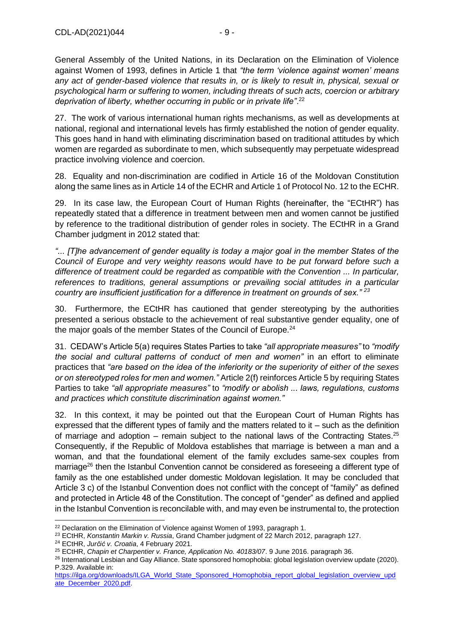General Assembly of the United Nations, in its Declaration on the Elimination of Violence against Women of 1993, defines in Article 1 that *"the term 'violence against women' means any act of gender-based violence that results in, or is likely to result in, physical, sexual or psychological harm or suffering to women, including threats of such acts, coercion or arbitrary deprivation of liberty, whether occurring in public or in private life"*. 22

27. The work of various international human rights mechanisms, as well as developments at national, regional and international levels has firmly established the notion of gender equality. This goes hand in hand with eliminating discrimination based on traditional attitudes by which women are regarded as subordinate to men, which subsequently may perpetuate widespread practice involving violence and coercion.

28. Equality and non-discrimination are codified in Article 16 of the Moldovan Constitution along the same lines as in Article 14 of the ECHR and Article 1 of Protocol No. 12 to the ECHR.

29. In its case law, the European Court of Human Rights (hereinafter, the "ECtHR") has repeatedly stated that a difference in treatment between men and women cannot be justified by reference to the traditional distribution of gender roles in society. The ECtHR in a Grand Chamber judgment in 2012 stated that:

*"... [T]he advancement of gender equality is today a major goal in the member States of the Council of Europe and very weighty reasons would have to be put forward before such a difference of treatment could be regarded as compatible with the Convention ... In particular, references to traditions, general assumptions or prevailing social attitudes in a particular country are insufficient justification for a difference in treatment on grounds of sex." <sup>23</sup>*

30. Furthermore, the ECtHR has cautioned that gender stereotyping by the authorities presented a serious obstacle to the achievement of real substantive gender equality, one of the major goals of the member States of the Council of Europe.<sup>24</sup>

31. CEDAW's Article 5(a) requires States Parties to take *"all appropriate measures"* to *"modify the social and cultural patterns of conduct of men and women"* in an effort to eliminate practices that *"are based on the idea of the inferiority or the superiority of either of the sexes or on stereotyped roles for men and women."* Article 2(f) reinforces Article 5 by requiring States Parties to take *"all appropriate measures"* to *"modify or abolish ... laws, regulations, customs and practices which constitute discrimination against women."*

32. In this context, it may be pointed out that the European Court of Human Rights has expressed that the different types of family and the matters related to it – such as the definition of marriage and adoption  $-$  remain subject to the national laws of the Contracting States.<sup>25</sup> Consequently, if the Republic of Moldova establishes that marriage is between a man and a woman, and that the foundational element of the family excludes same-sex couples from marriage<sup>26</sup> then the Istanbul Convention cannot be considered as foreseeing a different type of family as the one established under domestic Moldovan legislation. It may be concluded that Article 3 c) of the Istanbul Convention does not conflict with the concept of "family" as defined and protected in Article 48 of the Constitution. The concept of "gender" as defined and applied in the Istanbul Convention is reconcilable with, and may even be instrumental to, the protection

<sup>&</sup>lt;sup>22</sup> Declaration on the Elimination of Violence against Women of 1993, paragraph 1.

<sup>23</sup> ECtHR, *Konstantin Markin v. Russia*, Grand Chamber judgment of 22 March 2012, paragraph 127.

<sup>24</sup> ECtHR, *Jurčić v. Croatia*, 4 February 2021.

<sup>25</sup> ECtHR, *Chapin et Charpentier v. France, Application No. 40183/07*. 9 June 2016. paragraph 36.

<sup>&</sup>lt;sup>26</sup> International Lesbian and Gay Alliance. State sponsored homophobia: global legislation overview update (2020). P.329. Available in:

[https://ilga.org/downloads/ILGA\\_World\\_State\\_Sponsored\\_Homophobia\\_report\\_global\\_legislation\\_overview\\_upd](https://ilga.org/downloads/ILGA_World_State_Sponsored_Homophobia_report_global_legislation_overview_update_December_2020.pdf) [ate\\_December\\_2020.pdf.](https://ilga.org/downloads/ILGA_World_State_Sponsored_Homophobia_report_global_legislation_overview_update_December_2020.pdf)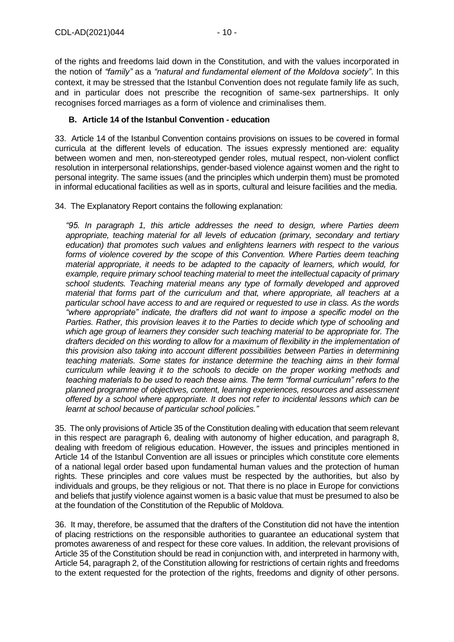of the rights and freedoms laid down in the Constitution, and with the values incorporated in the notion of *"family"* as a *"natural and fundamental element of the Moldova society"*. In this context, it may be stressed that the Istanbul Convention does not regulate family life as such, and in particular does not prescribe the recognition of same-sex partnerships. It only recognises forced marriages as a form of violence and criminalises them.

# <span id="page-9-0"></span>**B. Article 14 of the Istanbul Convention - education**

33. Article 14 of the Istanbul Convention contains provisions on issues to be covered in formal curricula at the different levels of education. The issues expressly mentioned are: equality between women and men, non-stereotyped gender roles, mutual respect, non-violent conflict resolution in interpersonal relationships, gender-based violence against women and the right to personal integrity. The same issues (and the principles which underpin them) must be promoted in informal educational facilities as well as in sports, cultural and leisure facilities and the media.

34. The Explanatory Report contains the following explanation:

*"95. In paragraph 1, this article addresses the need to design, where Parties deem appropriate, teaching material for all levels of education (primary, secondary and tertiary education) that promotes such values and enlightens learners with respect to the various*  forms of violence covered by the scope of this Convention. Where Parties deem teaching *material appropriate, it needs to be adapted to the capacity of learners, which would, for example, require primary school teaching material to meet the intellectual capacity of primary school students. Teaching material means any type of formally developed and approved material that forms part of the curriculum and that, where appropriate, all teachers at a particular school have access to and are required or requested to use in class. As the words "where appropriate" indicate, the drafters did not want to impose a specific model on the Parties. Rather, this provision leaves it to the Parties to decide which type of schooling and which age group of learners they consider such teaching material to be appropriate for. The drafters decided on this wording to allow for a maximum of flexibility in the implementation of this provision also taking into account different possibilities between Parties in determining teaching materials. Some states for instance determine the teaching aims in their formal curriculum while leaving it to the schools to decide on the proper working methods and teaching materials to be used to reach these aims. The term "formal curriculum" refers to the planned programme of objectives, content, learning experiences, resources and assessment offered by a school where appropriate. It does not refer to incidental lessons which can be learnt at school because of particular school policies."*

35. The only provisions of Article 35 of the Constitution dealing with education that seem relevant in this respect are paragraph 6, dealing with autonomy of higher education, and paragraph 8, dealing with freedom of religious education. However, the issues and principles mentioned in Article 14 of the Istanbul Convention are all issues or principles which constitute core elements of a national legal order based upon fundamental human values and the protection of human rights. These principles and core values must be respected by the authorities, but also by individuals and groups, be they religious or not. That there is no place in Europe for convictions and beliefs that justify violence against women is a basic value that must be presumed to also be at the foundation of the Constitution of the Republic of Moldova.

36. It may, therefore, be assumed that the drafters of the Constitution did not have the intention of placing restrictions on the responsible authorities to guarantee an educational system that promotes awareness of and respect for these core values. In addition, the relevant provisions of Article 35 of the Constitution should be read in conjunction with, and interpreted in harmony with, Article 54, paragraph 2, of the Constitution allowing for restrictions of certain rights and freedoms to the extent requested for the protection of the rights, freedoms and dignity of other persons.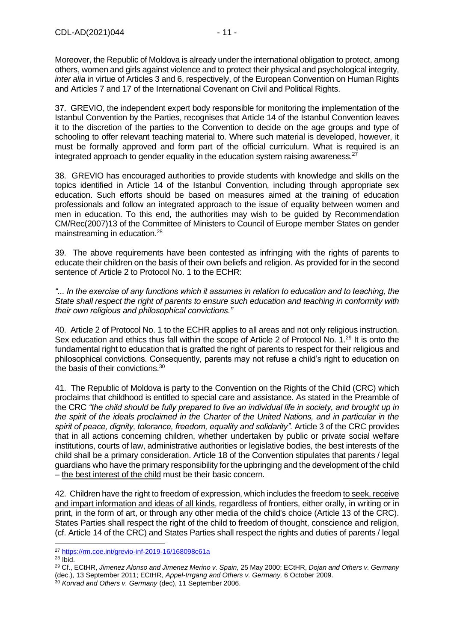Moreover, the Republic of Moldova is already under the international obligation to protect, among others, women and girls against violence and to protect their physical and psychological integrity, *inter alia* in virtue of Articles 3 and 6, respectively, of the European Convention on Human Rights and Articles 7 and 17 of the International Covenant on Civil and Political Rights.

37. GREVIO, the independent expert body responsible for monitoring the implementation of the [Istanbul Convention](http://rm.coe.int/CoERMPublicCommonSearchServices/DisplayDCTMContent?documentId=090000168046031c) by the Parties, recognises that Article 14 of the Istanbul Convention leaves it to the discretion of the parties to the Convention to decide on the age groups and type of schooling to offer relevant teaching material to. Where such material is developed, however, it must be formally approved and form part of the official curriculum. What is required is an integrated approach to gender equality in the education system raising awareness.<sup>27</sup>

38. GREVIO has encouraged authorities to provide students with knowledge and skills on the topics identified in Article 14 of the Istanbul Convention, including through appropriate sex education. Such efforts should be based on measures aimed at the training of education professionals and follow an integrated approach to the issue of equality between women and men in education. To this end, the authorities may wish to be guided by Recommendation CM/Rec(2007)13 of the Committee of Ministers to Council of Europe member States on gender mainstreaming in education.<sup>28</sup>

39. The above requirements have been contested as infringing with the rights of parents to educate their children on the basis of their own beliefs and religion. As provided for in the second sentence of Article 2 to Protocol No. 1 to the ECHR:

*"... In the exercise of any functions which it assumes in relation to education and to teaching, the State shall respect the right of parents to ensure such education and teaching in conformity with their own religious and philosophical convictions."* 

40. Article 2 of Protocol No. 1 to the ECHR applies to all areas and not only religious instruction. Sex education and ethics thus fall within the scope of Article 2 of Protocol No. 1.<sup>29</sup> It is onto the fundamental right to education that is grafted the right of parents to respect for their religious and philosophical convictions. Consequently, parents may not refuse a child's right to education on the basis of their convictions.<sup>30</sup>

41. The Republic of Moldova is party to the Convention on the Rights of the Child (CRC) which proclaims that childhood is entitled to special care and assistance. As stated in the Preamble of the CRC *"the child should be fully prepared to live an individual life in society, and brought up in the spirit of the ideals proclaimed in the Charter of the United Nations, and in particular in the*  spirit of peace, dignity, tolerance, freedom, equality and solidarity". Article 3 of the CRC provides that in all actions concerning children, whether undertaken by public or private social welfare institutions, courts of law, administrative authorities or legislative bodies, the best interests of the child shall be a primary consideration. Article 18 of the Convention stipulates that parents / legal guardians who have the primary responsibility for the upbringing and the development of the child – the best interest of the child must be their basic concern.

42. Children have the right to freedom of expression, which includes the freedom to seek, receive and impart information and ideas of all kinds, regardless of frontiers, either orally, in writing or in print, in the form of art, or through any other media of the child's choice (Article 13 of the CRC). States Parties shall respect the right of the child to freedom of thought, conscience and religion, (cf. Article 14 of the CRC) and States Parties shall respect the rights and duties of parents / legal

 $28$  Ibid.

<sup>27</sup> <https://rm.coe.int/grevio-inf-2019-16/168098c61a>

<sup>29</sup> Cf., ECtHR, *Jimenez Alonso and Jimenez Merino v. Spain,* 25 May 2000; ECtHR, *Dojan and Others v. Germany*  (dec.), 13 September 2011; ECtHR, *Appel-Irrgang and Others v. Germany,* 6 October 2009.

<sup>30</sup> *Konrad and Others v. Germany* (dec), 11 September 2006.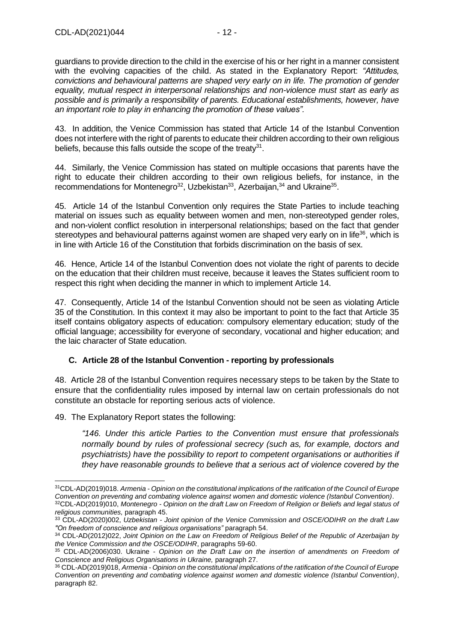guardians to provide direction to the child in the exercise of his or her right in a manner consistent with the evolving capacities of the child. As stated in the Explanatory Report: *"Attitudes, convictions and behavioural patterns are shaped very early on in life. The promotion of gender equality, mutual respect in interpersonal relationships and non-violence must start as early as possible and is primarily a responsibility of parents. Educational establishments, however, have an important role to play in enhancing the promotion of these values".* 

43. In addition, the Venice Commission has stated that Article 14 of the Istanbul Convention does not interfere with the right of parents to educate their children according to their own religious beliefs, because this falls outside the scope of the treaty $31$ .

44. Similarly, the Venice Commission has stated on multiple occasions that parents have the right to educate their children according to their own religious beliefs, for instance, in the recommendations for Montenegro<sup>32</sup>, Uzbekistan<sup>33</sup>, Azerbaijan,  $34$  and Ukraine<sup>35</sup>.

45. Article 14 of the Istanbul Convention only requires the State Parties to include teaching material on issues such as equality between women and men, non-stereotyped gender roles, and non-violent conflict resolution in interpersonal relationships; based on the fact that gender stereotypes and behavioural patterns against women are shaped very early on in life<sup>36</sup>, which is in line with Article 16 of the Constitution that forbids discrimination on the basis of sex.

46. Hence, Article 14 of the Istanbul Convention does not violate the right of parents to decide on the education that their children must receive, because it leaves the States sufficient room to respect this right when deciding the manner in which to implement Article 14.

47. Consequently, Article 14 of the Istanbul Convention should not be seen as violating Article 35 of the Constitution. In this context it may also be important to point to the fact that Article 35 itself contains obligatory aspects of education: compulsory elementary education; study of the official language; accessibility for everyone of secondary, vocational and higher education; and the laic character of State education.

# <span id="page-11-0"></span>**C. Article 28 of the Istanbul Convention - reporting by professionals**

48. Article 28 of the Istanbul Convention requires necessary steps to be taken by the State to ensure that the confidentiality rules imposed by internal law on certain professionals do not constitute an obstacle for reporting serious acts of violence.

49. The Explanatory Report states the following:

*"146. Under this article Parties to the Convention must ensure that professionals normally bound by rules of professional secrecy (such as, for example, doctors and psychiatrists) have the possibility to report to competent organisations or authorities if they have reasonable grounds to believe that a serious act of violence covered by the* 

<sup>31</sup>CDL-AD(2019)018. *Armenia - Opinion on the constitutional implications of the ratification of the Council of Europe Convention on preventing and combating violence against women and domestic violence (Istanbul Convention)*. <sup>32</sup>CDL-AD(2019)010, *Montenegro - Opinion on the draft Law on Freedom of Religion or Beliefs and legal status of religious communities,* paragraph 45.

<sup>33</sup> CDL-AD(2020)002, *Uzbekistan - Joint opinion of the Venice Commission and OSCE/ODIHR on the draft Law "On freedom of conscience and religious organisations"* paragraph 54.

<sup>34</sup> CDL-AD(2012)022, *Joint Opinion on the Law on Freedom of Religious Belief of the Republic of Azerbaijan by the Venice Commission and the OSCE/ODIHR*, paragraphs 59-60.

<sup>35</sup> CDL-AD(2006)030. Ukraine - *Opinion on the Draft Law on the insertion of amendments on Freedom of Conscience and Religious Organisations in Ukraine,* paragraph 27.

<sup>36</sup> CDL-AD(2019)018, *Armenia - Opinion on the constitutional implications of the ratification of the Council of Europe Convention on preventing and combating violence against women and domestic violence (Istanbul Convention)*, paragraph 82.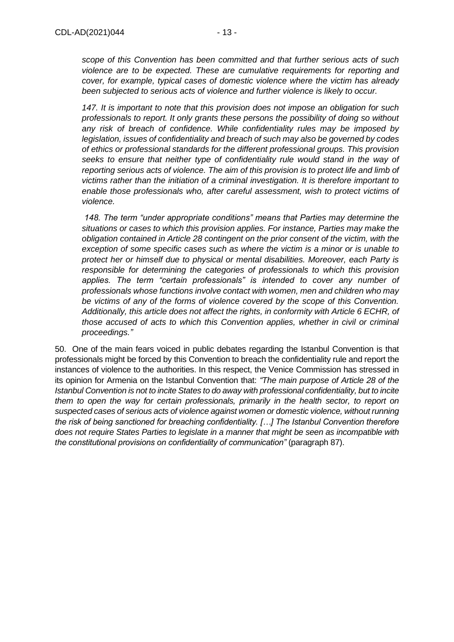*scope of this Convention has been committed and that further serious acts of such violence are to be expected. These are cumulative requirements for reporting and cover, for example, typical cases of domestic violence where the victim has already been subjected to serious acts of violence and further violence is likely to occur.* 

*147. It is important to note that this provision does not impose an obligation for such professionals to report. It only grants these persons the possibility of doing so without any risk of breach of confidence. While confidentiality rules may be imposed by legislation, issues of confidentiality and breach of such may also be governed by codes of ethics or professional standards for the different professional groups. This provision seeks to ensure that neither type of confidentiality rule would stand in the way of reporting serious acts of violence. The aim of this provision is to protect life and limb of victims rather than the initiation of a criminal investigation. It is therefore important to enable those professionals who, after careful assessment, wish to protect victims of violence.*

*148. The term "under appropriate conditions" means that Parties may determine the situations or cases to which this provision applies. For instance, Parties may make the obligation contained in Article 28 contingent on the prior consent of the victim, with the exception of some specific cases such as where the victim is a minor or is unable to protect her or himself due to physical or mental disabilities. Moreover, each Party is responsible for determining the categories of professionals to which this provision applies. The term "certain professionals" is intended to cover any number of professionals whose functions involve contact with women, men and children who may be victims of any of the forms of violence covered by the scope of this Convention. Additionally, this article does not affect the rights, in conformity with Article 6 ECHR, of those accused of acts to which this Convention applies, whether in civil or criminal proceedings."*

50. One of the main fears voiced in public debates regarding the Istanbul Convention is that professionals might be forced by this Convention to breach the confidentiality rule and report the instances of violence to the authorities. In this respect, the Venice Commission has stressed in its opinion for Armenia on the Istanbul Convention that: *"The main purpose of Article 28 of the Istanbul Convention is not to incite States to do away with professional confidentiality, but to incite them to open the way for certain professionals, primarily in the health sector, to report on suspected cases of serious acts of violence against women or domestic violence, without running the risk of being sanctioned for breaching confidentiality. […] The Istanbul Convention therefore does not require States Parties to legislate in a manner that might be seen as incompatible with the constitutional provisions on confidentiality of communication"* (paragraph 87).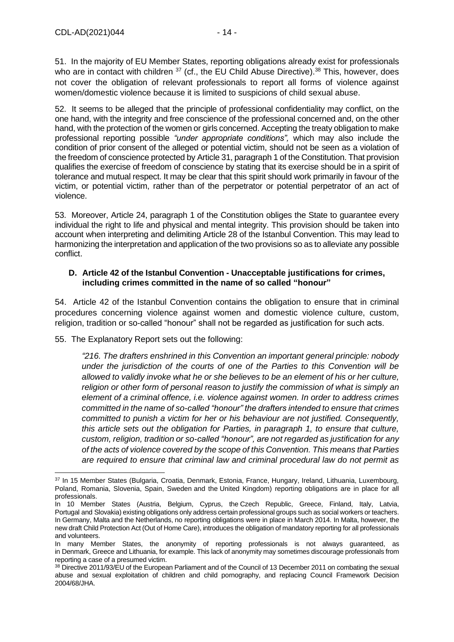51. In the majority of EU Member States, reporting obligations already exist for professionals who are in contact with children  $37$  (cf., the EU Child Abuse Directive).<sup>38</sup> This, however, does not cover the obligation of relevant professionals to report all forms of violence against women/domestic violence because it is limited to suspicions of child sexual abuse.

52. It seems to be alleged that the principle of professional confidentiality may conflict, on the one hand, with the integrity and free conscience of the professional concerned and, on the other hand, with the protection of the women or girls concerned. Accepting the treaty obligation to make professional reporting possible *"under appropriate conditions",* which may also include the condition of prior consent of the alleged or potential victim, should not be seen as a violation of the freedom of conscience protected by Article 31, paragraph 1 of the Constitution. That provision qualifies the exercise of freedom of conscience by stating that its exercise should be in a spirit of tolerance and mutual respect. It may be clear that this spirit should work primarily in favour of the victim, or potential victim, rather than of the perpetrator or potential perpetrator of an act of violence.

53. Moreover, Article 24, paragraph 1 of the Constitution obliges the State to guarantee every individual the right to life and physical and mental integrity. This provision should be taken into account when interpreting and delimiting Article 28 of the Istanbul Convention. This may lead to harmonizing the interpretation and application of the two provisions so as to alleviate any possible conflict.

# <span id="page-13-0"></span>**D. Article 42 of the Istanbul Convention - Unacceptable justifications for crimes, including crimes committed in the name of so called "honour"**

54. Article 42 of the Istanbul Convention contains the obligation to ensure that in criminal procedures concerning violence against women and domestic violence culture, custom, religion, tradition or so-called "honour" shall not be regarded as justification for such acts.

55. The Explanatory Report sets out the following:

*"216. The drafters enshrined in this Convention an important general principle: nobody under the jurisdiction of the courts of one of the Parties to this Convention will be allowed to validly invoke what he or she believes to be an element of his or her culture, religion or other form of personal reason to justify the commission of what is simply an element of a criminal offence, i.e. violence against women. In order to address crimes committed in the name of so-called "honour" the drafters intended to ensure that crimes committed to punish a victim for her or his behaviour are not justified. Consequently, this article sets out the obligation for Parties, in paragraph 1, to ensure that culture, custom, religion, tradition or so-called "honour", are not regarded as justification for any of the acts of violence covered by the scope of this Convention. This means that Parties are required to ensure that criminal law and criminal procedural law do not permit as* 

<sup>37</sup> In 15 Member States (Bulgaria, Croatia, Denmark, Estonia, France, Hungary, Ireland, Lithuania, Luxembourg, Poland, Romania, Slovenia, Spain, Sweden and the United Kingdom) reporting obligations are in place for all professionals.

In 10 Member States (Austria, Belgium, Cyprus, the Czech Republic, Greece, Finland, Italy, Latvia, Portugal and Slovakia) existing obligations only address certain professional groups such as social workers or teachers. In Germany, Malta and the Netherlands, no reporting obligations were in place in March 2014. In Malta, however, the new draft Child Protection Act (Out of Home Care), introduces the obligation of mandatory reporting for all professionals and volunteers.

In many Member States, the anonymity of reporting professionals is not always guaranteed, as in Denmark, Greece and Lithuania, for example. This lack of anonymity may sometimes discourage professionals from reporting a case of a presumed victim.

<sup>38</sup> Directive 2011/93/EU of the European Parliament and of the Council of 13 December 2011 on combating the sexual abuse and sexual exploitation of children and child pornography, and replacing Council Framework Decision 2004/68/JHA.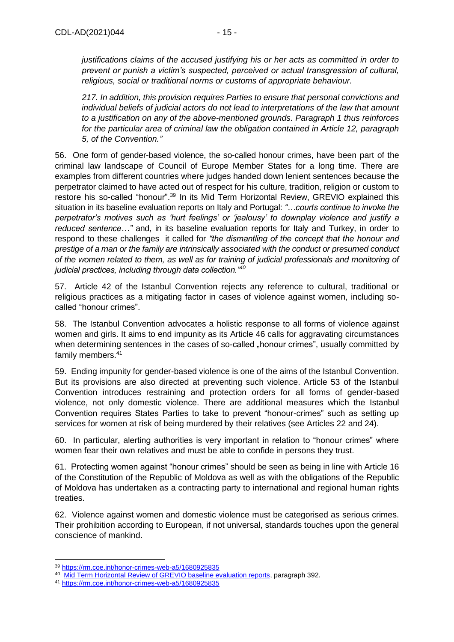*justifications claims of the accused justifying his or her acts as committed in order to prevent or punish a victim's suspected, perceived or actual transgression of cultural, religious, social or traditional norms or customs of appropriate behaviour.* 

*217. In addition, this provision requires Parties to ensure that personal convictions and individual beliefs of judicial actors do not lead to interpretations of the law that amount to a justification on any of the above-mentioned grounds. Paragraph 1 thus reinforces for the particular area of criminal law the obligation contained in Article 12, paragraph 5, of the Convention."*

56. One form of gender-based violence, the so-called honour crimes, have been part of the criminal law landscape of Council of Europe Member States for a long time. There are examples from different countries where judges handed down lenient sentences because the perpetrator claimed to have acted out of respect for his culture, tradition, religion or custom to restore his so-called "honour".<sup>39</sup> In its Mid Term Horizontal Review, GREVIO explained this situation in its baseline evaluation reports on Italy and Portugal: *"…courts continue to invoke the perpetrator's motives such as 'hurt feelings' or 'jealousy' to downplay violence and justify a reduced sentence…"* and, in its baseline evaluation reports for Italy and Turkey, in order to respond to these challenges it called for *"the dismantling of the concept that the honour and prestige of a man or the family are intrinsically associated with the conduct or presumed conduct of the women related to them, as well as for training of judicial professionals and monitoring of judicial practices, including through data collection."<sup>40</sup>*

57. Article 42 of the Istanbul Convention rejects any reference to cultural, traditional or religious practices as a mitigating factor in cases of violence against women, including socalled "honour crimes".

58. The Istanbul Convention advocates a holistic response to all forms of violence against women and girls. It aims to end impunity as its Article 46 calls for aggravating circumstances when determining sentences in the cases of so-called "honour crimes", usually committed by family members.<sup>41</sup>

59. Ending impunity for gender-based violence is one of the aims of the Istanbul Convention. But its provisions are also directed at preventing such violence. Article 53 of the Istanbul Convention introduces restraining and protection orders for all forms of gender-based violence, not only domestic violence. There are additional measures which the Istanbul Convention requires States Parties to take to prevent "honour-crimes" such as setting up services for women at risk of being murdered by their relatives (see Articles 22 and 24).

60. In particular, alerting authorities is very important in relation to "honour crimes" where women fear their own relatives and must be able to confide in persons they trust.

61. Protecting women against "honour crimes" should be seen as being in line with Article 16 of the Constitution of the Republic of Moldova as well as with the obligations of the Republic of Moldova has undertaken as a contracting party to international and regional human rights treaties.

62. Violence against women and domestic violence must be categorised as serious crimes. Their prohibition according to European, if not universal, standards touches upon the general conscience of mankind.

<sup>39</sup> <https://rm.coe.int/honor-crimes-web-a5/1680925835>

<sup>&</sup>lt;sup>40</sup> [Mid Term Horizontal Review of GREVIO baseline evaluation reports,](https://www.coe.int/en/web/istanbul-convention/-/mid-term-horizontal-review-provides-a-panoramic-view-of-the-implementation-of-the-istanbul-convention) paragraph 392.

<sup>41</sup> <https://rm.coe.int/honor-crimes-web-a5/1680925835>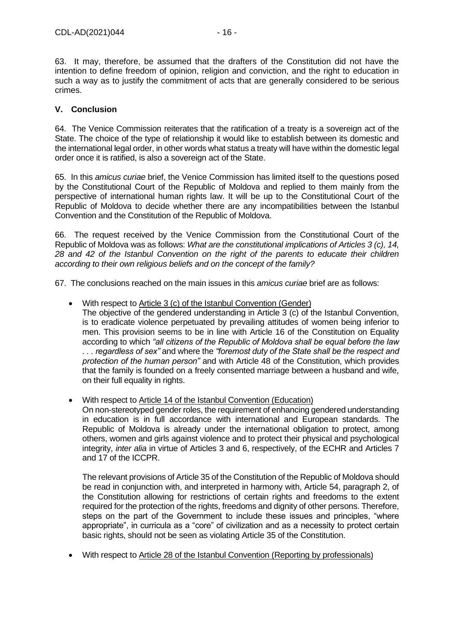63. It may, therefore, be assumed that the drafters of the Constitution did not have the intention to define freedom of opinion, religion and conviction, and the right to education in such a way as to justify the commitment of acts that are generally considered to be serious crimes.

# <span id="page-15-0"></span>**V. Conclusion**

64. The Venice Commission reiterates that the ratification of a treaty is a sovereign act of the State. The choice of the type of relationship it would like to establish between its domestic and the international legal order, in other words what status a treaty will have within the domestic legal order once it is ratified, is also a sovereign act of the State.

65. In this *amicus curiae* brief, the Venice Commission has limited itself to the questions posed by the Constitutional Court of the Republic of Moldova and replied to them mainly from the perspective of international human rights law. It will be up to the Constitutional Court of the Republic of Moldova to decide whether there are any incompatibilities between the Istanbul Convention and the Constitution of the Republic of Moldova.

66. The request received by the Venice Commission from the Constitutional Court of the Republic of Moldova was as follows: *What are the constitutional implications of Articles 3 (c), 14, 28 and 42 of the Istanbul Convention on the right of the parents to educate their children according to their own religious beliefs and on the concept of the family?*

67. The conclusions reached on the main issues in this *amicus curiae* brief are as follows:

- With respect to Article 3 (c) of the Istanbul Convention (Gender)
	- The objective of the gendered understanding in Article 3 (c) of the Istanbul Convention, is to eradicate violence perpetuated by prevailing attitudes of women being inferior to men. This provision seems to be in line with Article 16 of the Constitution on Equality according to which *"all citizens of the Republic of Moldova shall be equal before the law . . . regardless of sex"* and where the *"foremost duty of the State shall be the respect and protection of the human person"* and with Article 48 of the Constitution, which provides that the family is founded on a freely consented marriage between a husband and wife, on their full equality in rights.
- With respect to Article 14 of the Istanbul Convention (Education)

On non-stereotyped gender roles, the requirement of enhancing gendered understanding in education is in full accordance with international and European standards. The Republic of Moldova is already under the international obligation to protect, among others, women and girls against violence and to protect their physical and psychological integrity, *inter alia* in virtue of Articles 3 and 6, respectively, of the ECHR and Articles 7 and 17 of the ICCPR.

The relevant provisions of Article 35 of the Constitution of the Republic of Moldova should be read in conjunction with, and interpreted in harmony with, Article 54, paragraph 2, of the Constitution allowing for restrictions of certain rights and freedoms to the extent required for the protection of the rights, freedoms and dignity of other persons. Therefore, steps on the part of the Government to include these issues and principles, "where appropriate", in curricula as a "core" of civilization and as a necessity to protect certain basic rights, should not be seen as violating Article 35 of the Constitution.

• With respect to Article 28 of the Istanbul Convention (Reporting by professionals)